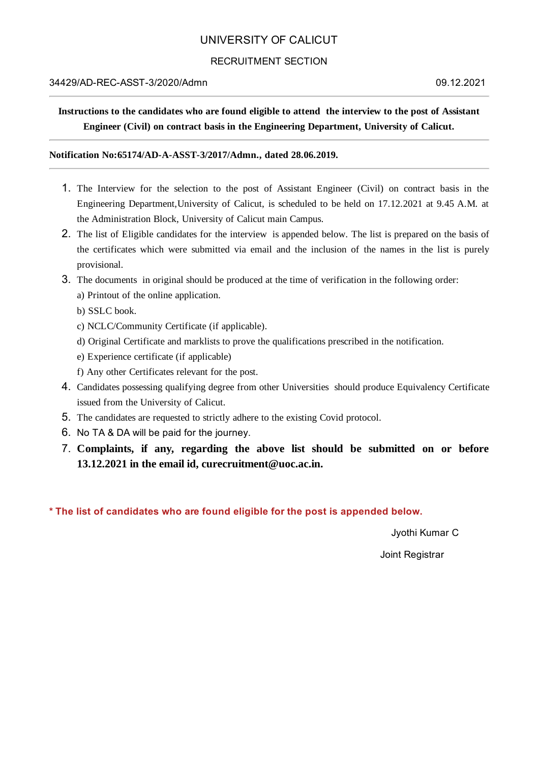## UNIVERSITY OF CALICUT

### RECRUITMENT SECTION

#### 34429/AD-REC-ASST-3/2020/Admn 09.12.2021

# **Instructions to the candidates who are found eligible to attend the interview to the post of Assistant Engineer (Civil) on contract basis in the Engineering Department, University of Calicut.**

#### **Notification No:65174/AD-A-ASST-3/2017/Admn., dated 28.06.2019.**

- 1. The Interview for the selection to the post of Assistant Engineer (Civil) on contract basis in the Engineering Department,University of Calicut, is scheduled to be held on 17.12.2021 at 9.45 A.M. at the Administration Block, University of Calicut main Campus.
- 2. The list of Eligible candidates for the interview is appended below. The list is prepared on the basis of the certificates which were submitted via email and the inclusion of the names in the list is purely provisional.
- 3. The documents in original should be produced at the time of verification in the following order:
	- a) Printout of the online application.
	- b) SSLC book.
	- c) NCLC/Community Certificate (if applicable).
	- d) Original Certificate and marklists to prove the qualifications prescribed in the notification.
	- e) Experience certificate (if applicable)
	- f) Any other Certificates relevant for the post.
- 4. Candidates possessing qualifying degree from other Universities should produce Equivalency Certificate issued from the University of Calicut.
- 5. The candidates are requested to strictly adhere to the existing Covid protocol.
- 6. No TA & DA will be paid for the journey.
- 7. **Complaints, if any, regarding the above list should be submitted on or before 13.12.2021 in the email id, curecruitment@uoc.ac.in.**

**\* The list of candidates who are found eligible for the post is appended below.**

Jyothi Kumar C

Joint Registrar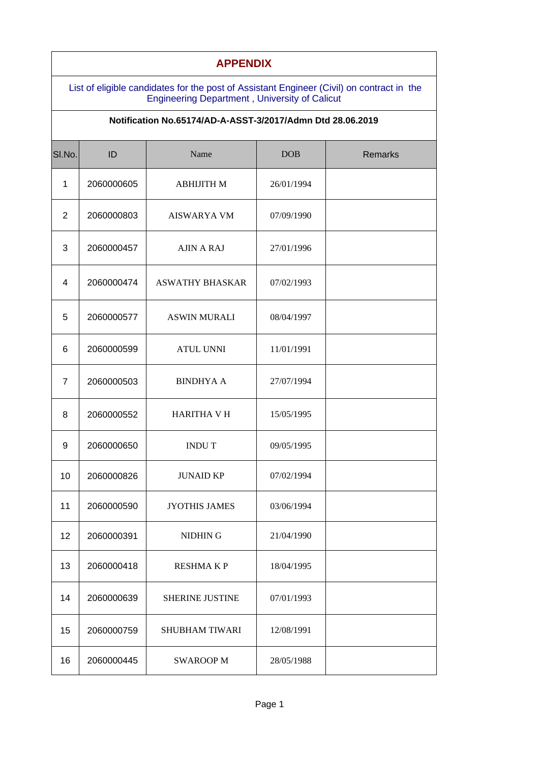| <b>APPENDIX</b>                                                                                                                                   |            |                        |            |         |  |  |  |
|---------------------------------------------------------------------------------------------------------------------------------------------------|------------|------------------------|------------|---------|--|--|--|
| List of eligible candidates for the post of Assistant Engineer (Civil) on contract in the<br><b>Engineering Department, University of Calicut</b> |            |                        |            |         |  |  |  |
| Notification No.65174/AD-A-ASST-3/2017/Admn Dtd 28.06.2019                                                                                        |            |                        |            |         |  |  |  |
| SI.No.                                                                                                                                            | ID         | Name                   | <b>DOB</b> | Remarks |  |  |  |
| $\mathbf{1}$                                                                                                                                      | 2060000605 | <b>ABHIJITH M</b>      | 26/01/1994 |         |  |  |  |
| 2                                                                                                                                                 | 2060000803 | <b>AISWARYA VM</b>     | 07/09/1990 |         |  |  |  |
| 3                                                                                                                                                 | 2060000457 | <b>AJIN A RAJ</b>      | 27/01/1996 |         |  |  |  |
| $\overline{4}$                                                                                                                                    | 2060000474 | <b>ASWATHY BHASKAR</b> | 07/02/1993 |         |  |  |  |
| 5                                                                                                                                                 | 2060000577 | <b>ASWIN MURALI</b>    | 08/04/1997 |         |  |  |  |
| 6                                                                                                                                                 | 2060000599 | <b>ATUL UNNI</b>       | 11/01/1991 |         |  |  |  |
| $\overline{7}$                                                                                                                                    | 2060000503 | <b>BINDHYAA</b>        | 27/07/1994 |         |  |  |  |
| 8                                                                                                                                                 | 2060000552 | <b>HARITHA V H</b>     | 15/05/1995 |         |  |  |  |
| 9                                                                                                                                                 | 2060000650 | <b>INDUT</b>           | 09/05/1995 |         |  |  |  |
| 10                                                                                                                                                | 2060000826 | <b>JUNAID KP</b>       | 07/02/1994 |         |  |  |  |
| 11                                                                                                                                                | 2060000590 | <b>JYOTHIS JAMES</b>   | 03/06/1994 |         |  |  |  |
| 12                                                                                                                                                | 2060000391 | NIDHIN G               | 21/04/1990 |         |  |  |  |
| 13                                                                                                                                                | 2060000418 | <b>RESHMAKP</b>        | 18/04/1995 |         |  |  |  |
| 14                                                                                                                                                | 2060000639 | <b>SHERINE JUSTINE</b> | 07/01/1993 |         |  |  |  |
| 15                                                                                                                                                | 2060000759 | <b>SHUBHAM TIWARI</b>  | 12/08/1991 |         |  |  |  |
| 16                                                                                                                                                | 2060000445 | <b>SWAROOP M</b>       | 28/05/1988 |         |  |  |  |